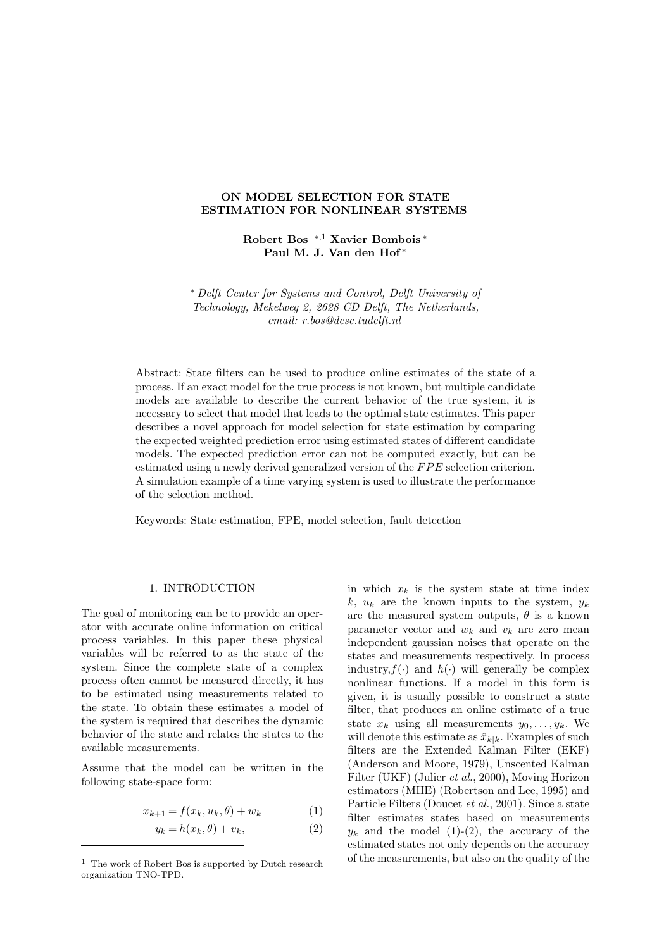## **ON MODEL SELECTION FOR STATE ESTIMATION FOR NONLINEAR SYSTEMS**

**Robert Bos** <sup>∗</sup>,<sup>1</sup> **Xavier Bombois** <sup>∗</sup> **Paul M. J. Van den Hof** <sup>∗</sup>

∗ *Delft Center for Systems and Control, Delft University of Technology, Mekelweg 2, 2628 CD Delft, The Netherlands, email: r.bos@dcsc.tudelft.nl*

Abstract: State filters can be used to produce online estimates of the state of a process. If an exact model for the true process is not known, but multiple candidate models are available to describe the current behavior of the true system, it is necessary to select that model that leads to the optimal state estimates. This paper describes a novel approach for model selection for state estimation by comparing the expected weighted prediction error using estimated states of different candidate models. The expected prediction error can not be computed exactly, but can be estimated using a newly derived generalized version of the FPE selection criterion. A simulation example of a time varying system is used to illustrate the performance of the selection method.

Keywords: State estimation, FPE, model selection, fault detection

# 1. INTRODUCTION

The goal of monitoring can be to provide an operator with accurate online information on critical process variables. In this paper these physical variables will be referred to as the state of the system. Since the complete state of a complex process often cannot be measured directly, it has to be estimated using measurements related to the state. To obtain these estimates a model of the system is required that describes the dynamic behavior of the state and relates the states to the available measurements.

Assume that the model can be written in the following state-space form:

$$
x_{k+1} = f(x_k, u_k, \theta) + w_k \tag{1}
$$

$$
y_k = h(x_k, \theta) + v_k, \tag{2}
$$

in which  $x_k$  is the system state at time index k,  $u_k$  are the known inputs to the system,  $y_k$ are the measured system outputs,  $\theta$  is a known parameter vector and  $w_k$  and  $v_k$  are zero mean independent gaussian noises that operate on the states and measurements respectively. In process industry,  $f(\cdot)$  and  $h(\cdot)$  will generally be complex nonlinear functions. If a model in this form is given, it is usually possible to construct a state filter, that produces an online estimate of a true state  $x_k$  using all measurements  $y_0, \ldots, y_k$ . We will denote this estimate as  $\hat{x}_{k|k}$ . Examples of such filters are the Extended Kalman Filter (EKF) (Anderson and Moore, 1979), Unscented Kalman Filter (UKF) (Julier *et al.*, 2000), Moving Horizon estimators (MHE) (Robertson and Lee, 1995) and Particle Filters (Doucet *et al.*, 2001). Since a state filter estimates states based on measurements  $y_k$  and the model (1)-(2), the accuracy of the estimated states not only depends on the accuracy of the measurements, but also on the quality of the

<sup>1</sup> The work of Robert Bos is supported by Dutch research organization TNO-TPD.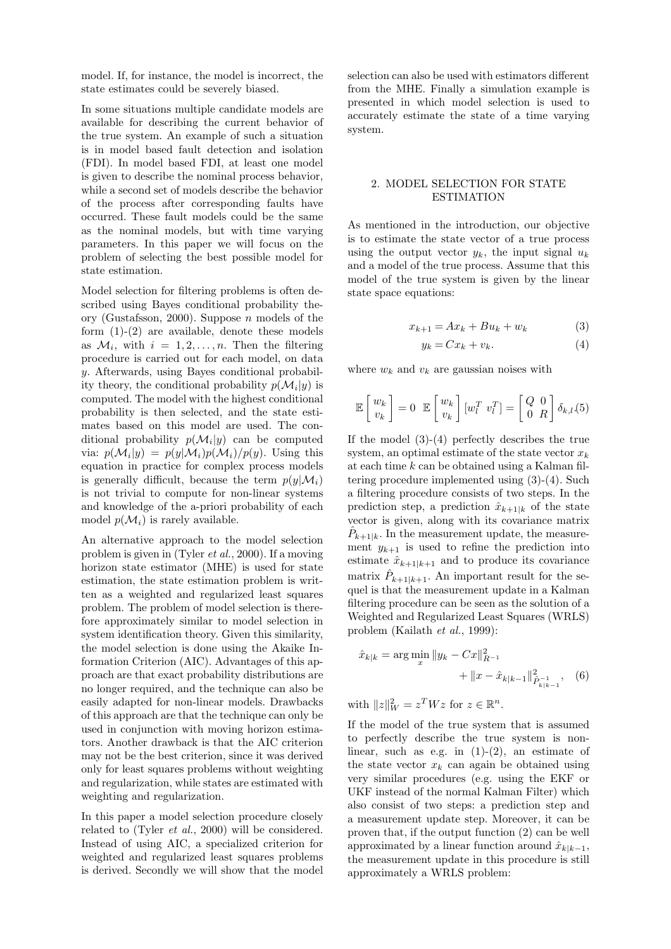model. If, for instance, the model is incorrect, the state estimates could be severely biased.

In some situations multiple candidate models are available for describing the current behavior of the true system. An example of such a situation is in model based fault detection and isolation (FDI). In model based FDI, at least one model is given to describe the nominal process behavior, while a second set of models describe the behavior of the process after corresponding faults have occurred. These fault models could be the same as the nominal models, but with time varying parameters. In this paper we will focus on the problem of selecting the best possible model for state estimation.

Model selection for filtering problems is often described using Bayes conditional probability theory (Gustafsson, 2000). Suppose  $n$  models of the form  $(1)-(2)$  are available, denote these models as  $\mathcal{M}_i$ , with  $i = 1, 2, ..., n$ . Then the filtering procedure is carried out for each model, on data y. Afterwards, using Bayes conditional probability theory, the conditional probability  $p(\mathcal{M}_i|y)$  is computed. The model with the highest conditional probability is then selected, and the state estimates based on this model are used. The conditional probability  $p(\mathcal{M}_i|y)$  can be computed via:  $p(\mathcal{M}_i|y) = p(y|\mathcal{M}_i)p(\mathcal{M}_i)/p(y)$ . Using this equation in practice for complex process models is generally difficult, because the term  $p(y|\mathcal{M}_i)$ is not trivial to compute for non-linear systems and knowledge of the a-priori probability of each model  $p(\mathcal{M}_i)$  is rarely available.

An alternative approach to the model selection problem is given in (Tyler *et al.*, 2000). If a moving horizon state estimator (MHE) is used for state estimation, the state estimation problem is written as a weighted and regularized least squares problem. The problem of model selection is therefore approximately similar to model selection in system identification theory. Given this similarity, the model selection is done using the Akaike Information Criterion (AIC). Advantages of this approach are that exact probability distributions are no longer required, and the technique can also be easily adapted for non-linear models. Drawbacks of this approach are that the technique can only be used in conjunction with moving horizon estimators. Another drawback is that the AIC criterion may not be the best criterion, since it was derived only for least squares problems without weighting and regularization, while states are estimated with weighting and regularization.

In this paper a model selection procedure closely related to (Tyler *et al.*, 2000) will be considered. Instead of using AIC, a specialized criterion for weighted and regularized least squares problems is derived. Secondly we will show that the model selection can also be used with estimators different from the MHE. Finally a simulation example is presented in which model selection is used to accurately estimate the state of a time varying system.

# 2. MODEL SELECTION FOR STATE ESTIMATION

As mentioned in the introduction, our objective is to estimate the state vector of a true process using the output vector  $y_k$ , the input signal  $u_k$ and a model of the true process. Assume that this model of the true system is given by the linear state space equations:

$$
x_{k+1} = Ax_k + Bu_k + w_k \tag{3}
$$

$$
y_k = Cx_k + v_k. \tag{4}
$$

where  $w_k$  and  $v_k$  are gaussian noises with

$$
\mathbb{E}\begin{bmatrix} w_k \\ v_k \end{bmatrix} = 0 \quad \mathbb{E}\begin{bmatrix} w_k \\ v_k \end{bmatrix} [w_l^T \ v_l^T] = \begin{bmatrix} Q & 0 \\ 0 & R \end{bmatrix} \delta_{k,l}(5)
$$

If the model  $(3)-(4)$  perfectly describes the true system, an optimal estimate of the state vector  $x_k$ at each time  $k$  can be obtained using a Kalman filtering procedure implemented using (3)-(4). Such a filtering procedure consists of two steps. In the prediction step, a prediction  $\hat{x}_{k+1|k}$  of the state vector is given, along with its covariance matrix  $\hat{P}_{k+1|k}.$  In the measurement update, the measurement  $y_{k+1}$  is used to refine the prediction into estimate  $\hat{x}_{k+1|k+1}$  and to produce its covariance matrix  $\hat{P}_{k+1|k+1}$ . An important result for the sequel is that the measurement update in a Kalman filtering procedure can be seen as the solution of a Weighted and Regularized Least Squares (WRLS) problem (Kailath *et al.*, 1999):

$$
\hat{x}_{k|k} = \arg\min_{x} \|y_k - Cx\|_{R^{-1}}^2 + \|x - \hat{x}_{k|k-1}\|_{\hat{P}_{k|k-1}}^2, \quad (6)
$$

with  $||z||_W^2 = z^T W z$  for  $z \in \mathbb{R}^n$ .

If the model of the true system that is assumed to perfectly describe the true system is nonlinear, such as e.g. in  $(1)-(2)$ , an estimate of the state vector  $x_k$  can again be obtained using very similar procedures (e.g. using the EKF or UKF instead of the normal Kalman Filter) which also consist of two steps: a prediction step and a measurement update step. Moreover, it can be proven that, if the output function (2) can be well approximated by a linear function around  $\hat{x}_{k|k-1}$ , the measurement update in this procedure is still approximately a WRLS problem: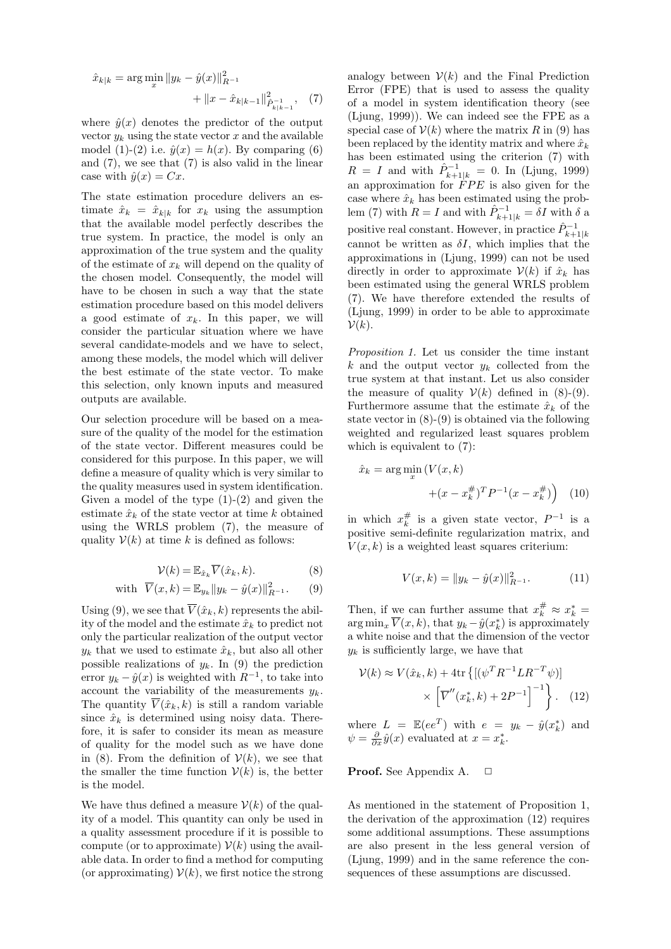$$
\hat{x}_{k|k} = \arg\min_{x} \|y_k - \hat{y}(x)\|_{R^{-1}}^2 + \|x - \hat{x}_{k|k-1}\|_{\hat{P}_{k|k-1}}^2, \quad (7)
$$

where  $\hat{y}(x)$  denotes the predictor of the output vector  $y_k$  using the state vector x and the available model (1)-(2) i.e.  $\hat{y}(x) = h(x)$ . By comparing (6) and (7), we see that (7) is also valid in the linear case with  $\hat{y}(x) = Cx$ .

The state estimation procedure delivers an estimate  $\hat{x}_k = \hat{x}_{k|k}$  for  $x_k$  using the assumption that the available model perfectly describes the true system. In practice, the model is only an approximation of the true system and the quality of the estimate of  $x_k$  will depend on the quality of the chosen model. Consequently, the model will have to be chosen in such a way that the state estimation procedure based on this model delivers a good estimate of  $x_k$ . In this paper, we will consider the particular situation where we have several candidate-models and we have to select, among these models, the model which will deliver the best estimate of the state vector. To make this selection, only known inputs and measured outputs are available.

Our selection procedure will be based on a measure of the quality of the model for the estimation of the state vector. Different measures could be considered for this purpose. In this paper, we will define a measure of quality which is very similar to the quality measures used in system identification. Given a model of the type  $(1)-(2)$  and given the estimate  $\hat{x}_k$  of the state vector at time k obtained using the WRLS problem (7), the measure of quality  $V(k)$  at time k is defined as follows:

$$
\mathcal{V}(k) = \mathbb{E}_{\hat{x}_k} \overline{V}(\hat{x}_k, k). \tag{8}
$$

with 
$$
\overline{V}(x,k) = \mathbb{E}_{y_k} ||y_k - \hat{y}(x)||_{R^{-1}}^2.
$$
 (9)

Using (9), we see that  $\overline{V}(\hat{x}_k, k)$  represents the ability of the model and the estimate  $\hat{x}_k$  to predict not only the particular realization of the output vector  $y_k$  that we used to estimate  $\hat{x}_k$ , but also all other possible realizations of  $y_k$ . In (9) the prediction error  $y_k - \hat{y}(x)$  is weighted with  $R^{-1}$ , to take into account the variability of the measurements  $y_k$ . The quantity  $\overline{V}(\hat{x}_k, k)$  is still a random variable since  $\hat{x}_k$  is determined using noisy data. Therefore, it is safer to consider its mean as measure of quality for the model such as we have done in (8). From the definition of  $\mathcal{V}(k)$ , we see that the smaller the time function  $V(k)$  is, the better is the model.

We have thus defined a measure  $V(k)$  of the quality of a model. This quantity can only be used in a quality assessment procedure if it is possible to compute (or to approximate)  $\mathcal{V}(k)$  using the available data. In order to find a method for computing (or approximating)  $V(k)$ , we first notice the strong analogy between  $V(k)$  and the Final Prediction Error (FPE) that is used to assess the quality of a model in system identification theory (see (Ljung, 1999)). We can indeed see the FPE as a special case of  $V(k)$  where the matrix R in (9) has been replaced by the identity matrix and where  $\hat{x}_k$ has been estimated using the criterion (7) with  $R = I$  and with  $\hat{P}_{k+1|k}^{-1} = 0$ . In (Ljung, 1999) an approximation for FPE is also given for the case where  $\hat{x}_k$  has been estimated using the problem (7) with  $R = I$  and with  $\hat{P}_{k+1|k}^{-1} = \delta I$  with  $\delta$  a positive real constant. However, in practice  $\hat{P}_{k+1|k}^{-1}$ cannot be written as  $\delta I$ , which implies that the approximations in (Ljung, 1999) can not be used directly in order to approximate  $\mathcal{V}(k)$  if  $\hat{x}_k$  has been estimated using the general WRLS problem (7). We have therefore extended the results of (Ljung, 1999) in order to be able to approximate  $\mathcal{V}(k)$ .

*Proposition 1.* Let us consider the time instant k and the output vector  $y_k$  collected from the true system at that instant. Let us also consider the measure of quality  $V(k)$  defined in (8)-(9). Furthermore assume that the estimate  $\hat{x}_k$  of the state vector in (8)-(9) is obtained via the following weighted and regularized least squares problem which is equivalent to (7):

$$
\hat{x}_k = \arg\min_{x} \left( V(x, k) + (x - x_k^{\#})^T P^{-1} (x - x_k^{\#}) \right)
$$
 (10)

in which  $x_k^{\#}$  is a given state vector,  $P^{-1}$  is a positive semi-definite regularization matrix, and  $V(x, k)$  is a weighted least squares criterium:

$$
V(x,k) = \|y_k - \hat{y}(x)\|_{R^{-1}}^2.
$$
 (11)

Then, if we can further assume that  $x_k^{\#} \approx x_k^* =$  $\arg \min_x V(x, k)$ , that  $y_k - \hat{y}(x_k^*)$  is approximately a white noise and that the dimension of the vector  $y_k$  is sufficiently large, we have that

$$
\mathcal{V}(k) \approx V(\hat{x}_k, k) + 4\text{tr}\left\{ \left[ (\psi^T R^{-1} L R^{-T} \psi) \right] \times \left[ \overline{V}''(x_k^*, k) + 2P^{-1} \right]^{-1} \right\}.
$$
 (12)

where  $L = \mathbb{E}(ee^T)$  with  $e = y_k - \hat{y}(x_k^*)$  and  $\psi = \frac{\partial}{\partial x} \hat{y}(x)$  evaluated at  $x = x_k^*$ .

## **Proof.** See Appendix A. □

As mentioned in the statement of Proposition 1, the derivation of the approximation (12) requires some additional assumptions. These assumptions are also present in the less general version of (Ljung, 1999) and in the same reference the consequences of these assumptions are discussed.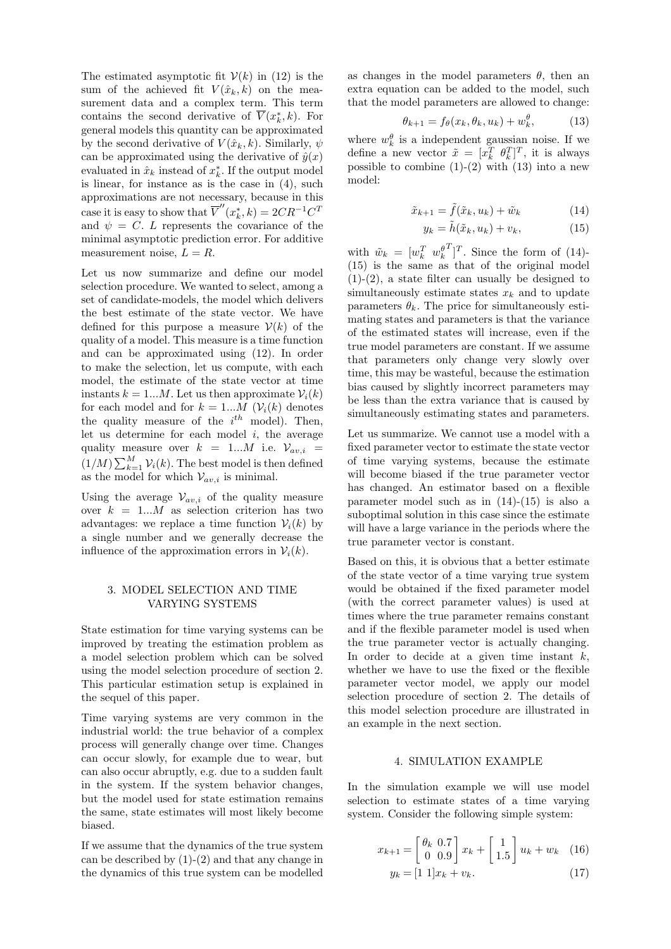The estimated asymptotic fit  $V(k)$  in (12) is the sum of the achieved fit  $V(\hat{x}_k, k)$  on the measurement data and a complex term. This term contains the second derivative of  $\overline{V}(x_k^*, k)$ . For general models this quantity can be approximated by the second derivative of  $V(\hat{x}_k, k)$ . Similarly,  $\psi$ can be approximated using the derivative of  $\hat{y}(x)$ evaluated in  $\hat{x}_k$  instead of  $x_k^*$ . If the output model is linear, for instance as is the case in (4), such approximations are not necessary, because in this case it is easy to show that  $\overline{V}''(x_k^*, k) = 2CR^{-1}C^T$ and  $\psi = C$ . L represents the covariance of the minimal asymptotic prediction error. For additive measurement noise,  $L = R$ .

Let us now summarize and define our model selection procedure. We wanted to select, among a set of candidate-models, the model which delivers the best estimate of the state vector. We have defined for this purpose a measure  $V(k)$  of the quality of a model. This measure is a time function and can be approximated using (12). In order to make the selection, let us compute, with each model, the estimate of the state vector at time instants  $k = 1...M$ . Let us then approximate  $\mathcal{V}_i(k)$ for each model and for  $k = 1...M$  ( $V_i(k)$ ) denotes the quality measure of the  $i^{th}$  model). Then, let us determine for each model  $i$ , the average quality measure over  $k = 1...M$  i.e.  $\mathcal{V}_{av,i}$  $(1/M)\sum_{k=1}^{M} V_i(k)$ . The best model is then defined as the model for which  $V_{av,i}$  is minimal.

Using the average  $\mathcal{V}_{av,i}$  of the quality measure over  $k = 1...M$  as selection criterion has two advantages: we replace a time function  $\mathcal{V}_i(k)$  by a single number and we generally decrease the influence of the approximation errors in  $\mathcal{V}_i(k)$ .

### 3. MODEL SELECTION AND TIME VARYING SYSTEMS

State estimation for time varying systems can be improved by treating the estimation problem as a model selection problem which can be solved using the model selection procedure of section 2. This particular estimation setup is explained in the sequel of this paper.

Time varying systems are very common in the industrial world: the true behavior of a complex process will generally change over time. Changes can occur slowly, for example due to wear, but can also occur abruptly, e.g. due to a sudden fault in the system. If the system behavior changes, but the model used for state estimation remains the same, state estimates will most likely become biased.

If we assume that the dynamics of the true system can be described by (1)-(2) and that any change in the dynamics of this true system can be modelled as changes in the model parameters  $\theta$ , then an extra equation can be added to the model, such that the model parameters are allowed to change:

$$
\theta_{k+1} = f_{\theta}(x_k, \theta_k, u_k) + w_k^{\theta}, \qquad (13)
$$

where  $w_k^{\theta}$  is a independent gaussian noise. If we define a new vector  $\tilde{x} = [x_k^T \ \theta_k^T]^T$ , it is always possible to combine  $(1)-(2)$  with  $(13)$  into a new model:

$$
\tilde{x}_{k+1} = \tilde{f}(\tilde{x}_k, u_k) + \tilde{w}_k \tag{14}
$$

$$
y_k = \tilde{h}(\tilde{x}_k, u_k) + v_k, \tag{15}
$$

with  $\tilde{w}_k = [w_k^T \ w_k^{\theta^T}]^T$ . Since the form of (14)-(15) is the same as that of the original model  $(1)-(2)$ , a state filter can usually be designed to simultaneously estimate states  $x_k$  and to update parameters  $\theta_k$ . The price for simultaneously estimating states and parameters is that the variance of the estimated states will increase, even if the true model parameters are constant. If we assume that parameters only change very slowly over time, this may be wasteful, because the estimation bias caused by slightly incorrect parameters may be less than the extra variance that is caused by simultaneously estimating states and parameters.

Let us summarize. We cannot use a model with a fixed parameter vector to estimate the state vector of time varying systems, because the estimate will become biased if the true parameter vector has changed. An estimator based on a flexible parameter model such as in  $(14)-(15)$  is also a suboptimal solution in this case since the estimate will have a large variance in the periods where the true parameter vector is constant.

Based on this, it is obvious that a better estimate of the state vector of a time varying true system would be obtained if the fixed parameter model (with the correct parameter values) is used at times where the true parameter remains constant and if the flexible parameter model is used when the true parameter vector is actually changing. In order to decide at a given time instant  $k$ , whether we have to use the fixed or the flexible parameter vector model, we apply our model selection procedure of section 2. The details of this model selection procedure are illustrated in an example in the next section.

#### 4. SIMULATION EXAMPLE

In the simulation example we will use model selection to estimate states of a time varying system. Consider the following simple system:

$$
x_{k+1} = \begin{bmatrix} \theta_k & 0.7\\ 0 & 0.9 \end{bmatrix} x_k + \begin{bmatrix} 1\\ 1.5 \end{bmatrix} u_k + w_k \quad (16)
$$
  

$$
y_k = \begin{bmatrix} 1 & 1 \end{bmatrix} x_k + v_k. \quad (17)
$$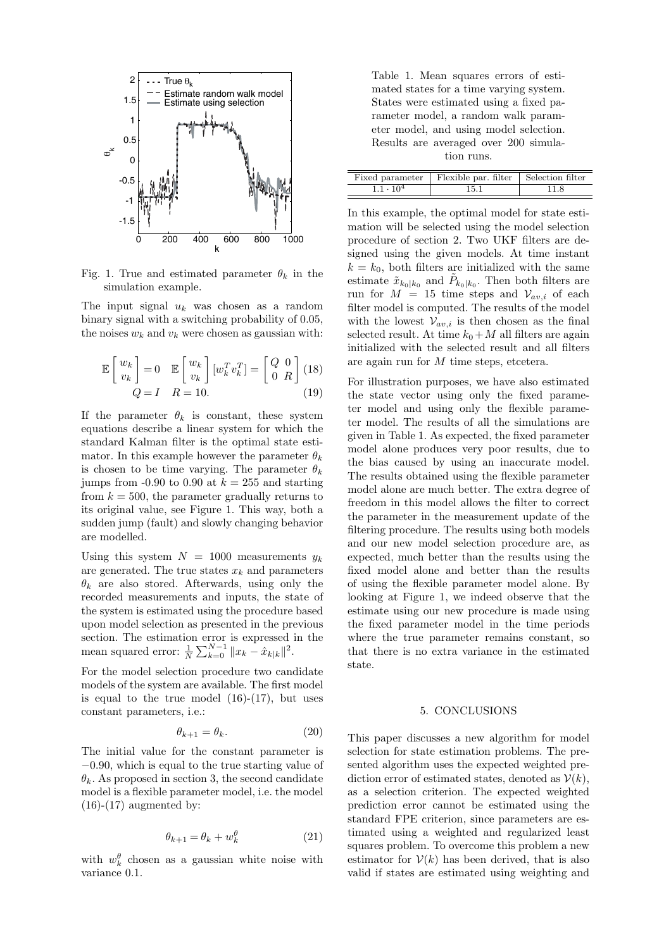

Fig. 1. True and estimated parameter  $\theta_k$  in the simulation example.

The input signal  $u_k$  was chosen as a random binary signal with a switching probability of 0.05, the noises  $w_k$  and  $v_k$  were chosen as gaussian with:

$$
\mathbb{E}\begin{bmatrix} w_k \\ v_k \end{bmatrix} = 0 \quad \mathbb{E}\begin{bmatrix} w_k \\ v_k \end{bmatrix} [w_k^T v_k^T] = \begin{bmatrix} Q & 0 \\ 0 & R \end{bmatrix} (18)
$$

$$
Q = I \quad R = 10.
$$
 (19)

If the parameter  $\theta_k$  is constant, these system equations describe a linear system for which the standard Kalman filter is the optimal state estimator. In this example however the parameter  $\theta_k$ is chosen to be time varying. The parameter  $\theta_k$ jumps from -0.90 to 0.90 at  $k = 255$  and starting from  $k = 500$ , the parameter gradually returns to its original value, see Figure 1. This way, both a sudden jump (fault) and slowly changing behavior are modelled.

Using this system  $N = 1000$  measurements  $y_k$ are generated. The true states  $x_k$  and parameters  $\theta_k$  are also stored. Afterwards, using only the recorded measurements and inputs, the state of the system is estimated using the procedure based upon model selection as presented in the previous section. The estimation error is expressed in the mean squared error:  $\frac{1}{N} \sum_{k=0}^{N-1} ||x_k - \hat{x}_{k|k}||^2$ .

For the model selection procedure two candidate models of the system are available. The first model is equal to the true model  $(16)-(17)$ , but uses constant parameters, i.e.:

$$
\theta_{k+1} = \theta_k. \tag{20}
$$

The initial value for the constant parameter is −0.90, which is equal to the true starting value of  $\theta_k$ . As proposed in section 3, the second candidate model is a flexible parameter model, i.e. the model  $(16)-(17)$  augmented by:

$$
\theta_{k+1} = \theta_k + w_k^{\theta} \tag{21}
$$

with  $w_k^{\theta}$  chosen as a gaussian white noise with variance 0.1.

Table 1. Mean squares errors of estimated states for a time varying system. States were estimated using a fixed parameter model, a random walk parameter model, and using model selection. Results are averaged over 200 simulation runs.

|                    | Fixed parameter   Flexible par. filter   Selection filter |      |
|--------------------|-----------------------------------------------------------|------|
| $1.1 \cdot 10^{4}$ | 15.1                                                      | 11.8 |

In this example, the optimal model for state estimation will be selected using the model selection procedure of section 2. Two UKF filters are designed using the given models. At time instant  $k = k_0$ , both filters are initialized with the same estimate  $\tilde{x}_{k_0|k_0}$  and  $\tilde{P}_{k_0|k_0}$ . Then both filters are run for  $M = 15$  time steps and  $V_{av,i}$  of each filter model is computed. The results of the model with the lowest  $V_{av,i}$  is then chosen as the final selected result. At time  $k_0+M$  all filters are again initialized with the selected result and all filters are again run for M time steps, etcetera.

For illustration purposes, we have also estimated the state vector using only the fixed parameter model and using only the flexible parameter model. The results of all the simulations are given in Table 1. As expected, the fixed parameter model alone produces very poor results, due to the bias caused by using an inaccurate model. The results obtained using the flexible parameter model alone are much better. The extra degree of freedom in this model allows the filter to correct the parameter in the measurement update of the filtering procedure. The results using both models and our new model selection procedure are, as expected, much better than the results using the fixed model alone and better than the results of using the flexible parameter model alone. By looking at Figure 1, we indeed observe that the estimate using our new procedure is made using the fixed parameter model in the time periods where the true parameter remains constant, so that there is no extra variance in the estimated state.

### 5. CONCLUSIONS

This paper discusses a new algorithm for model selection for state estimation problems. The presented algorithm uses the expected weighted prediction error of estimated states, denoted as  $V(k)$ , as a selection criterion. The expected weighted prediction error cannot be estimated using the standard FPE criterion, since parameters are estimated using a weighted and regularized least squares problem. To overcome this problem a new estimator for  $V(k)$  has been derived, that is also valid if states are estimated using weighting and